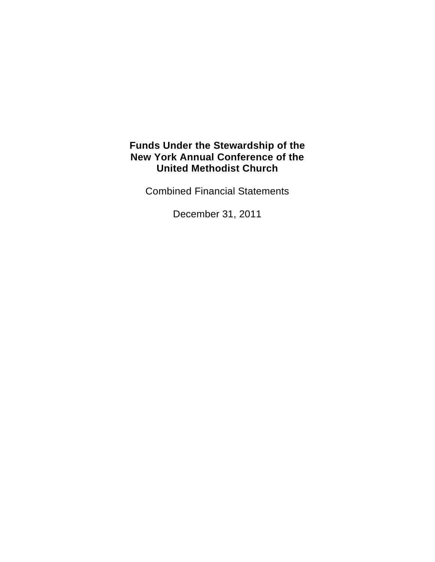Combined Financial Statements

December 31, 2011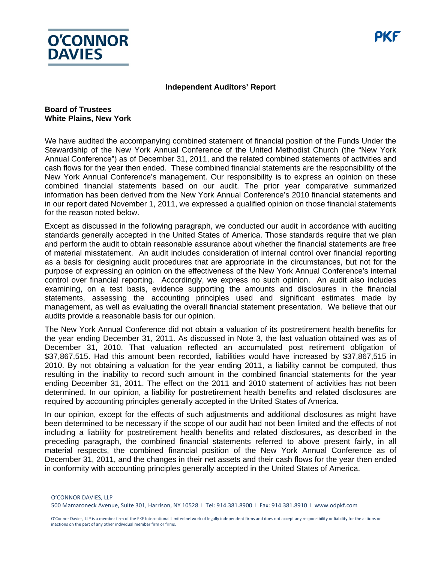

#### **Independent Auditors' Report**

#### **Board of Trustees White Plains, New York**

We have audited the accompanying combined statement of financial position of the Funds Under the Stewardship of the New York Annual Conference of the United Methodist Church (the "New York Annual Conference") as of December 31, 2011, and the related combined statements of activities and cash flows for the year then ended. These combined financial statements are the responsibility of the New York Annual Conference's management. Our responsibility is to express an opinion on these combined financial statements based on our audit. The prior year comparative summarized information has been derived from the New York Annual Conference's 2010 financial statements and in our report dated November 1, 2011, we expressed a qualified opinion on those financial statements for the reason noted below.

Except as discussed in the following paragraph, we conducted our audit in accordance with auditing standards generally accepted in the United States of America. Those standards require that we plan and perform the audit to obtain reasonable assurance about whether the financial statements are free of material misstatement. An audit includes consideration of internal control over financial reporting as a basis for designing audit procedures that are appropriate in the circumstances, but not for the purpose of expressing an opinion on the effectiveness of the New York Annual Conference's internal control over financial reporting. Accordingly, we express no such opinion. An audit also includes examining, on a test basis, evidence supporting the amounts and disclosures in the financial statements, assessing the accounting principles used and significant estimates made by management, as well as evaluating the overall financial statement presentation. We believe that our audits provide a reasonable basis for our opinion.

The New York Annual Conference did not obtain a valuation of its postretirement health benefits for the year ending December 31, 2011. As discussed in Note 3, the last valuation obtained was as of December 31, 2010. That valuation reflected an accumulated post retirement obligation of \$37,867,515. Had this amount been recorded, liabilities would have increased by \$37,867,515 in 2010. By not obtaining a valuation for the year ending 2011, a liability cannot be computed, thus resulting in the inability to record such amount in the combined financial statements for the year ending December 31, 2011. The effect on the 2011 and 2010 statement of activities has not been determined. In our opinion, a liability for postretirement health benefits and related disclosures are required by accounting principles generally accepted in the United States of America.

In our opinion, except for the effects of such adjustments and additional disclosures as might have been determined to be necessary if the scope of our audit had not been limited and the effects of not including a liability for postretirement health benefits and related disclosures, as described in the preceding paragraph, the combined financial statements referred to above present fairly, in all material respects, the combined financial position of the New York Annual Conference as of December 31, 2011, and the changes in their net assets and their cash flows for the year then ended in conformity with accounting principles generally accepted in the United States of America.

O'CONNOR DAVIES, LLP 500 Mamaroneck Avenue, Suite 301, Harrison, NY 10528 I Tel: 914.381.8900 I Fax: 914.381.8910 I www.odpkf.com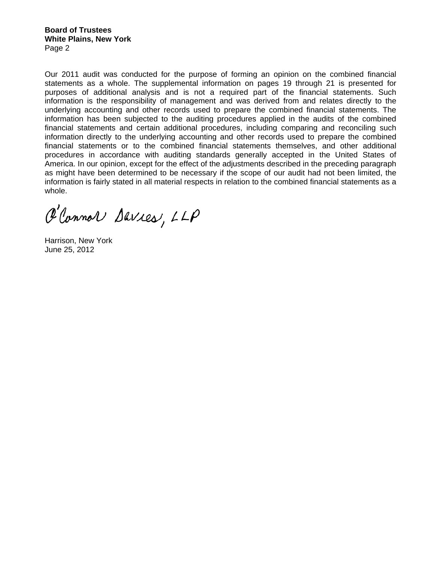**Board of Trustees White Plains, New York**  Page 2

Our 2011 audit was conducted for the purpose of forming an opinion on the combined financial statements as a whole. The supplemental information on pages 19 through 21 is presented for purposes of additional analysis and is not a required part of the financial statements. Such information is the responsibility of management and was derived from and relates directly to the underlying accounting and other records used to prepare the combined financial statements. The information has been subjected to the auditing procedures applied in the audits of the combined financial statements and certain additional procedures, including comparing and reconciling such information directly to the underlying accounting and other records used to prepare the combined financial statements or to the combined financial statements themselves, and other additional procedures in accordance with auditing standards generally accepted in the United States of America. In our opinion, except for the effect of the adjustments described in the preceding paragraph as might have been determined to be necessary if the scope of our audit had not been limited, the information is fairly stated in all material respects in relation to the combined financial statements as a whole.

P'Connor Davies, LLP

Harrison, New York June 25, 2012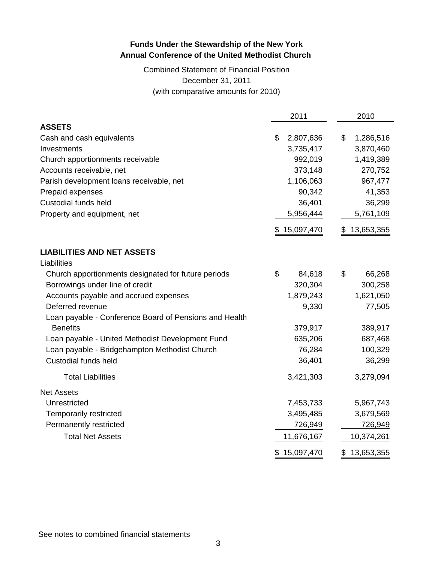Combined Statement of Financial Position December 31, 2011 (with comparative amounts for 2010)

|                                                        | 2011             | 2010             |
|--------------------------------------------------------|------------------|------------------|
| <b>ASSETS</b>                                          |                  |                  |
| Cash and cash equivalents                              | \$<br>2,807,636  | \$<br>1,286,516  |
| Investments                                            | 3,735,417        | 3,870,460        |
| Church apportionments receivable                       | 992,019          | 1,419,389        |
| Accounts receivable, net                               | 373,148          | 270,752          |
| Parish development loans receivable, net               | 1,106,063        | 967,477          |
| Prepaid expenses                                       | 90,342           | 41,353           |
| <b>Custodial funds held</b>                            | 36,401           | 36,299           |
| Property and equipment, net                            | 5,956,444        | 5,761,109        |
|                                                        | \$15,097,470     | 13,653,355<br>S. |
| <b>LIABILITIES AND NET ASSETS</b>                      |                  |                  |
| Liabilities                                            |                  |                  |
| Church apportionments designated for future periods    | \$<br>84,618     | \$<br>66,268     |
| Borrowings under line of credit                        | 320,304          | 300,258          |
| Accounts payable and accrued expenses                  | 1,879,243        | 1,621,050        |
| Deferred revenue                                       | 9,330            | 77,505           |
| Loan payable - Conference Board of Pensions and Health |                  |                  |
| <b>Benefits</b>                                        | 379,917          | 389,917          |
| Loan payable - United Methodist Development Fund       | 635,206          | 687,468          |
| Loan payable - Bridgehampton Methodist Church          | 76,284           | 100,329          |
| Custodial funds held                                   | 36,401           | 36,299           |
| <b>Total Liabilities</b>                               | 3,421,303        | 3,279,094        |
| <b>Net Assets</b>                                      |                  |                  |
| Unrestricted                                           | 7,453,733        | 5,967,743        |
| Temporarily restricted                                 | 3,495,485        | 3,679,569        |
| Permanently restricted                                 | 726,949          | 726,949          |
| <b>Total Net Assets</b>                                | 11,676,167       | 10,374,261       |
|                                                        | 15,097,470<br>\$ | 13,653,355<br>\$ |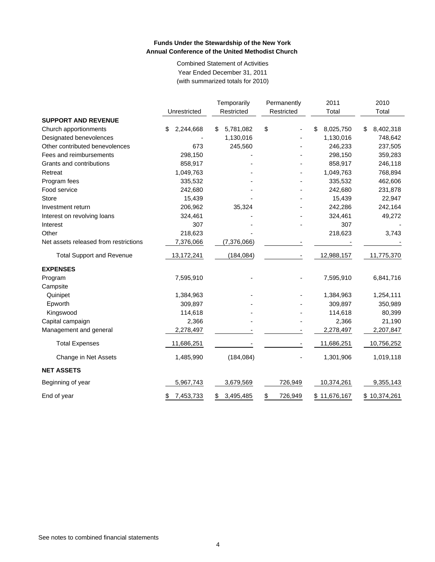Combined Statement of Activities Year Ended December 31, 2011 (with summarized totals for 2010)

|                                       |                 | Temporarily     | Permanently              | 2011            | 2010            |
|---------------------------------------|-----------------|-----------------|--------------------------|-----------------|-----------------|
|                                       | Unrestricted    | Restricted      | Restricted               | Total           | Total           |
| <b>SUPPORT AND REVENUE</b>            |                 |                 |                          |                 |                 |
| Church apportionments                 | 2,244,668<br>\$ | \$<br>5,781,082 | \$                       | \$<br>8,025,750 | 8,402,318<br>\$ |
| Designated benevolences               |                 | 1,130,016       |                          | 1,130,016       | 748,642         |
| Other contributed benevolences        | 673             | 245,560         |                          | 246,233         | 237,505         |
| Fees and reimbursements               | 298,150         |                 |                          | 298,150         | 359,283         |
| Grants and contributions              | 858,917         |                 |                          | 858,917         | 246,118         |
| Retreat                               | 1,049,763       |                 |                          | 1,049,763       | 768,894         |
| Program fees                          | 335,532         |                 |                          | 335,532         | 462,606         |
| Food service                          | 242,680         |                 |                          | 242,680         | 231,878         |
| <b>Store</b>                          | 15,439          |                 |                          | 15,439          | 22,947          |
| Investment return                     | 206,962         | 35,324          |                          | 242,286         | 242,164         |
| Interest on revolving loans           | 324,461         |                 |                          | 324,461         | 49,272          |
| Interest                              | 307             |                 |                          | 307             |                 |
| Other                                 | 218,623         |                 |                          | 218,623         | 3,743           |
| Net assets released from restrictions | 7,376,066       | (7,376,066)     |                          |                 |                 |
| <b>Total Support and Revenue</b>      | 13,172,241      | (184, 084)      | $\overline{\phantom{a}}$ | 12,988,157      | 11,775,370      |
| <b>EXPENSES</b>                       |                 |                 |                          |                 |                 |
| Program                               | 7,595,910       |                 |                          | 7,595,910       | 6,841,716       |
| Campsite                              |                 |                 |                          |                 |                 |
| Quinipet                              | 1,384,963       |                 |                          | 1,384,963       | 1,254,111       |
| Epworth                               | 309,897         |                 |                          | 309,897         | 350,989         |
| Kingswood                             | 114,618         |                 |                          | 114,618         | 80,399          |
| Capital campaign                      | 2,366           |                 |                          | 2,366           | 21,190          |
| Management and general                | 2,278,497       |                 |                          | 2,278,497       | 2,207,847       |
| <b>Total Expenses</b>                 | 11,686,251      |                 |                          | 11,686,251      | 10,756,252      |
| Change in Net Assets                  | 1,485,990       | (184, 084)      |                          | 1,301,906       | 1,019,118       |
| <b>NET ASSETS</b>                     |                 |                 |                          |                 |                 |
| Beginning of year                     | 5,967,743       | 3,679,569       | 726,949                  | 10,374,261      | 9,355,143       |
| End of year                           | 7,453,733<br>\$ | 3,495,485<br>\$ | \$<br>726,949            | \$11,676,167    | \$10,374,261    |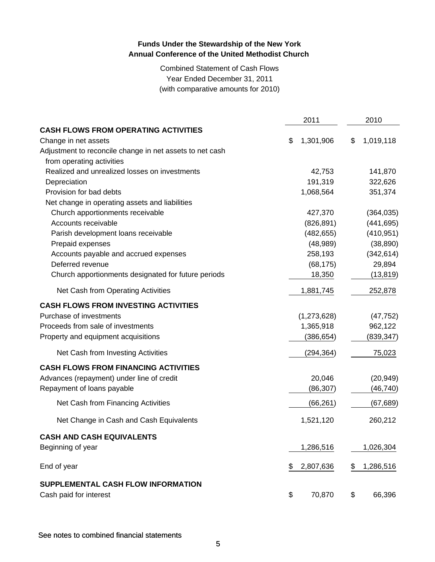Combined Statement of Cash Flows Year Ended December 31, 2011 (with comparative amounts for 2010)

|                                                          | 2011            | 2010            |
|----------------------------------------------------------|-----------------|-----------------|
| <b>CASH FLOWS FROM OPERATING ACTIVITIES</b>              |                 |                 |
| Change in net assets                                     | \$<br>1,301,906 | \$<br>1,019,118 |
| Adjustment to reconcile change in net assets to net cash |                 |                 |
| from operating activities                                |                 |                 |
| Realized and unrealized losses on investments            | 42,753          | 141,870         |
| Depreciation                                             | 191,319         | 322,626         |
| Provision for bad debts                                  | 1,068,564       | 351,374         |
| Net change in operating assets and liabilities           |                 |                 |
| Church apportionments receivable                         | 427,370         | (364, 035)      |
| Accounts receivable                                      | (826, 891)      | (441, 695)      |
| Parish development loans receivable                      | (482, 655)      | (410, 951)      |
| Prepaid expenses                                         | (48, 989)       | (38, 890)       |
| Accounts payable and accrued expenses                    | 258,193         | (342, 614)      |
| Deferred revenue                                         | (68, 175)       | 29,894          |
| Church apportionments designated for future periods      | 18,350          | (13, 819)       |
| Net Cash from Operating Activities                       | 1,881,745       | 252,878         |
| <b>CASH FLOWS FROM INVESTING ACTIVITIES</b>              |                 |                 |
| Purchase of investments                                  | (1,273,628)     | (47, 752)       |
| Proceeds from sale of investments                        | 1,365,918       | 962,122         |
| Property and equipment acquisitions                      | (386, 654)      | (839, 347)      |
| Net Cash from Investing Activities                       | (294, 364)      | 75,023          |
| <b>CASH FLOWS FROM FINANCING ACTIVITIES</b>              |                 |                 |
| Advances (repayment) under line of credit                | 20,046          | (20, 949)       |
| Repayment of loans payable                               | (86, 307)       | (46, 740)       |
| Net Cash from Financing Activities                       | (66, 261)       | (67, 689)       |
| Net Change in Cash and Cash Equivalents                  | 1,521,120       | 260,212         |
| <b>CASH AND CASH EQUIVALENTS</b>                         |                 |                 |
| Beginning of year                                        | 1,286,516       | 1,026,304       |
| End of year                                              | \$<br>2,807,636 | \$<br>1,286,516 |
| SUPPLEMENTAL CASH FLOW INFORMATION                       |                 |                 |
| Cash paid for interest                                   | \$<br>70,870    | \$<br>66,396    |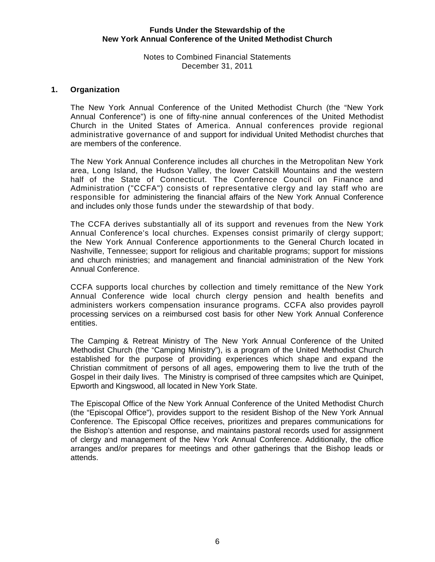Notes to Combined Financial Statements December 31, 2011

#### **1. Organization**

The New York Annual Conference of the United Methodist Church (the "New York Annual Conference") is one of fifty-nine annual conferences of the United Methodist Church in the United States of America. Annual conferences provide regional administrative governance of and support for individual United Methodist churches that are members of the conference.

The New York Annual Conference includes all churches in the Metropolitan New York area, Long Island, the Hudson Valley, the lower Catskill Mountains and the western half of the State of Connecticut. The Conference Council on Finance and Administration ("CCFA") consists of representative clergy and lay staff who are responsible for administering the financial affairs of the New York Annual Conference and includes only those funds under the stewardship of that body.

The CCFA derives substantially all of its support and revenues from the New York Annual Conference's local churches. Expenses consist primarily of clergy support; the New York Annual Conference apportionments to the General Church located in Nashville, Tennessee; support for religious and charitable programs; support for missions and church ministries; and management and financial administration of the New York Annual Conference.

CCFA supports local churches by collection and timely remittance of the New York Annual Conference wide local church clergy pension and health benefits and administers workers compensation insurance programs. CCFA also provides payroll processing services on a reimbursed cost basis for other New York Annual Conference entities.

The Camping & Retreat Ministry of The New York Annual Conference of the United Methodist Church (the "Camping Ministry"), is a program of the United Methodist Church established for the purpose of providing experiences which shape and expand the Christian commitment of persons of all ages, empowering them to live the truth of the Gospel in their daily lives. The Ministry is comprised of three campsites which are Quinipet, Epworth and Kingswood, all located in New York State.

The Episcopal Office of the New York Annual Conference of the United Methodist Church (the "Episcopal Office"), provides support to the resident Bishop of the New York Annual Conference. The Episcopal Office receives, prioritizes and prepares communications for the Bishop's attention and response, and maintains pastoral records used for assignment of clergy and management of the New York Annual Conference. Additionally, the office arranges and/or prepares for meetings and other gatherings that the Bishop leads or attends.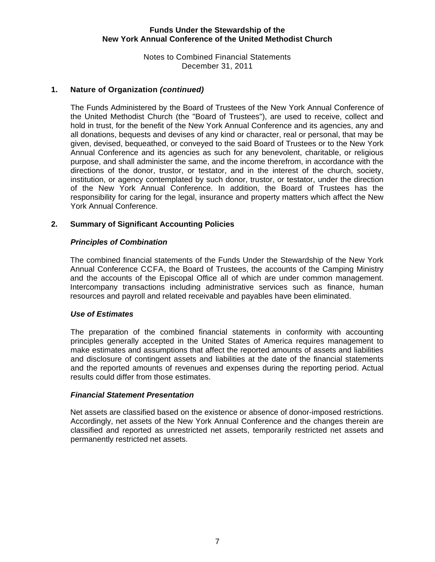Notes to Combined Financial Statements December 31, 2011

## **1. Nature of Organization** *(continued)*

The Funds Administered by the Board of Trustees of the New York Annual Conference of the United Methodist Church (the "Board of Trustees"), are used to receive, collect and hold in trust, for the benefit of the New York Annual Conference and its agencies, any and all donations, bequests and devises of any kind or character, real or personal, that may be given, devised, bequeathed, or conveyed to the said Board of Trustees or to the New York Annual Conference and its agencies as such for any benevolent, charitable, or religious purpose, and shall administer the same, and the income therefrom, in accordance with the directions of the donor, trustor, or testator, and in the interest of the church, society, institution, or agency contemplated by such donor, trustor, or testator, under the direction of the New York Annual Conference. In addition, the Board of Trustees has the responsibility for caring for the legal, insurance and property matters which affect the New York Annual Conference.

## **2. Summary of Significant Accounting Policies**

## *Principles of Combination*

The combined financial statements of the Funds Under the Stewardship of the New York Annual Conference CCFA, the Board of Trustees, the accounts of the Camping Ministry and the accounts of the Episcopal Office all of which are under common management. Intercompany transactions including administrative services such as finance, human resources and payroll and related receivable and payables have been eliminated.

## *Use of Estimates*

The preparation of the combined financial statements in conformity with accounting principles generally accepted in the United States of America requires management to make estimates and assumptions that affect the reported amounts of assets and liabilities and disclosure of contingent assets and liabilities at the date of the financial statements and the reported amounts of revenues and expenses during the reporting period. Actual results could differ from those estimates.

#### *Financial Statement Presentation*

 Net assets are classified based on the existence or absence of donor-imposed restrictions. Accordingly, net assets of the New York Annual Conference and the changes therein are classified and reported as unrestricted net assets, temporarily restricted net assets and permanently restricted net assets.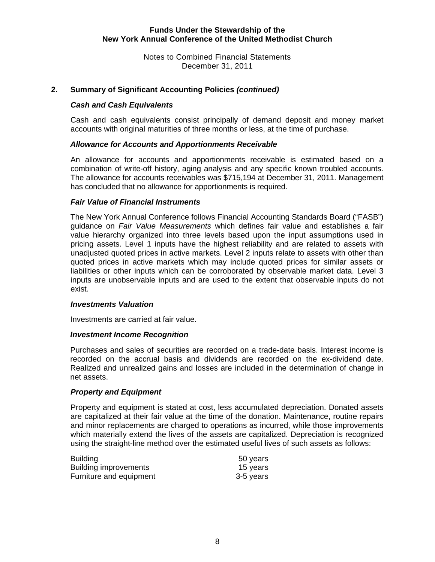Notes to Combined Financial Statements December 31, 2011

#### **2. Summary of Significant Accounting Policies** *(continued)*

#### *Cash and Cash Equivalents*

Cash and cash equivalents consist principally of demand deposit and money market accounts with original maturities of three months or less, at the time of purchase.

#### *Allowance for Accounts and Apportionments Receivable*

An allowance for accounts and apportionments receivable is estimated based on a combination of write-off history, aging analysis and any specific known troubled accounts. The allowance for accounts receivables was \$715,194 at December 31, 2011. Management has concluded that no allowance for apportionments is required.

#### *Fair Value of Financial Instruments*

 The New York Annual Conference follows Financial Accounting Standards Board ("FASB") guidance on *Fair Value Measurements* which defines fair value and establishes a fair value hierarchy organized into three levels based upon the input assumptions used in pricing assets. Level 1 inputs have the highest reliability and are related to assets with unadjusted quoted prices in active markets. Level 2 inputs relate to assets with other than quoted prices in active markets which may include quoted prices for similar assets or liabilities or other inputs which can be corroborated by observable market data. Level 3 inputs are unobservable inputs and are used to the extent that observable inputs do not exist.

#### *Investments Valuation*

Investments are carried at fair value.

#### *Investment Income Recognition*

Purchases and sales of securities are recorded on a trade-date basis. Interest income is recorded on the accrual basis and dividends are recorded on the ex-dividend date. Realized and unrealized gains and losses are included in the determination of change in net assets.

#### *Property and Equipment*

Property and equipment is stated at cost, less accumulated depreciation. Donated assets are capitalized at their fair value at the time of the donation. Maintenance, routine repairs and minor replacements are charged to operations as incurred, while those improvements which materially extend the lives of the assets are capitalized. Depreciation is recognized using the straight-line method over the estimated useful lives of such assets as follows:

| <b>Building</b>              | 50 years  |
|------------------------------|-----------|
| <b>Building improvements</b> | 15 years  |
| Furniture and equipment      | 3-5 years |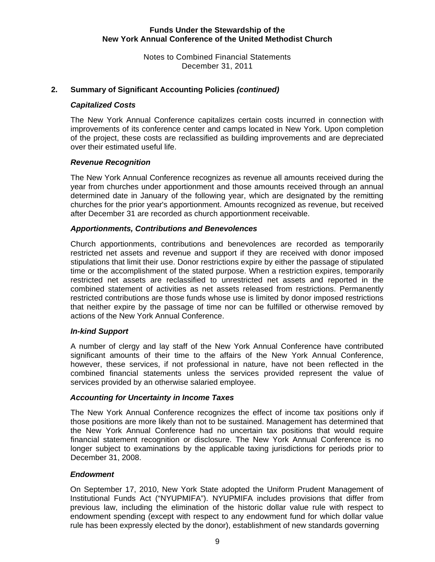Notes to Combined Financial Statements December 31, 2011

## **2. Summary of Significant Accounting Policies** *(continued)*

#### *Capitalized Costs*

The New York Annual Conference capitalizes certain costs incurred in connection with improvements of its conference center and camps located in New York. Upon completion of the project, these costs are reclassified as building improvements and are depreciated over their estimated useful life.

#### *Revenue Recognition*

The New York Annual Conference recognizes as revenue all amounts received during the year from churches under apportionment and those amounts received through an annual determined date in January of the following year, which are designated by the remitting churches for the prior year's apportionment. Amounts recognized as revenue, but received after December 31 are recorded as church apportionment receivable.

#### *Apportionments, Contributions and Benevolences*

Church apportionments, contributions and benevolences are recorded as temporarily restricted net assets and revenue and support if they are received with donor imposed stipulations that limit their use. Donor restrictions expire by either the passage of stipulated time or the accomplishment of the stated purpose. When a restriction expires, temporarily restricted net assets are reclassified to unrestricted net assets and reported in the combined statement of activities as net assets released from restrictions. Permanently restricted contributions are those funds whose use is limited by donor imposed restrictions that neither expire by the passage of time nor can be fulfilled or otherwise removed by actions of the New York Annual Conference.

#### *In-kind Support*

A number of clergy and lay staff of the New York Annual Conference have contributed significant amounts of their time to the affairs of the New York Annual Conference, however, these services, if not professional in nature, have not been reflected in the combined financial statements unless the services provided represent the value of services provided by an otherwise salaried employee.

#### *Accounting for Uncertainty in Income Taxes*

The New York Annual Conference recognizes the effect of income tax positions only if those positions are more likely than not to be sustained. Management has determined that the New York Annual Conference had no uncertain tax positions that would require financial statement recognition or disclosure. The New York Annual Conference is no longer subject to examinations by the applicable taxing jurisdictions for periods prior to December 31, 2008.

#### *Endowment*

On September 17, 2010, New York State adopted the Uniform Prudent Management of Institutional Funds Act ("NYUPMIFA"). NYUPMIFA includes provisions that differ from previous law, including the elimination of the historic dollar value rule with respect to endowment spending (except with respect to any endowment fund for which dollar value rule has been expressly elected by the donor), establishment of new standards governing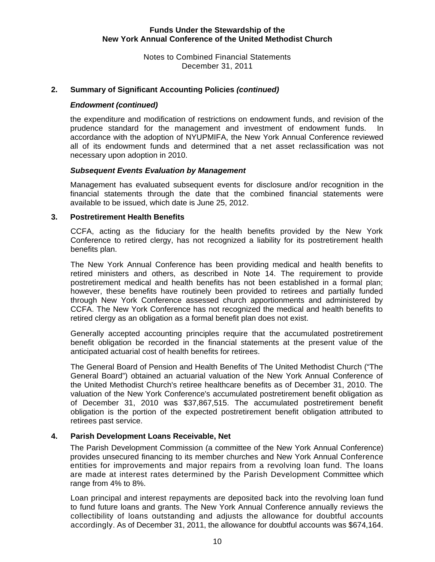Notes to Combined Financial Statements December 31, 2011

## **2. Summary of Significant Accounting Policies** *(continued)*

#### *Endowment (continued)*

the expenditure and modification of restrictions on endowment funds, and revision of the prudence standard for the management and investment of endowment funds. In accordance with the adoption of NYUPMIFA, the New York Annual Conference reviewed all of its endowment funds and determined that a net asset reclassification was not necessary upon adoption in 2010.

#### *Subsequent Events Evaluation by Management*

Management has evaluated subsequent events for disclosure and/or recognition in the financial statements through the date that the combined financial statements were available to be issued, which date is June 25, 2012.

#### **3. Postretirement Health Benefits**

CCFA, acting as the fiduciary for the health benefits provided by the New York Conference to retired clergy, has not recognized a liability for its postretirement health benefits plan.

The New York Annual Conference has been providing medical and health benefits to retired ministers and others, as described in Note 14. The requirement to provide postretirement medical and health benefits has not been established in a formal plan; however, these benefits have routinely been provided to retirees and partially funded through New York Conference assessed church apportionments and administered by CCFA. The New York Conference has not recognized the medical and health benefits to retired clergy as an obligation as a formal benefit plan does not exist.

Generally accepted accounting principles require that the accumulated postretirement benefit obligation be recorded in the financial statements at the present value of the anticipated actuarial cost of health benefits for retirees.

The General Board of Pension and Health Benefits of The United Methodist Church ("The General Board") obtained an actuarial valuation of the New York Annual Conference of the United Methodist Church's retiree healthcare benefits as of December 31, 2010. The valuation of the New York Conference's accumulated postretirement benefit obligation as of December 31, 2010 was \$37,867,515. The accumulated postretirement benefit obligation is the portion of the expected postretirement benefit obligation attributed to retirees past service.

## **4. Parish Development Loans Receivable, Net**

The Parish Development Commission (a committee of the New York Annual Conference) provides unsecured financing to its member churches and New York Annual Conference entities for improvements and major repairs from a revolving loan fund. The loans are made at interest rates determined by the Parish Development Committee which range from 4% to 8%.

Loan principal and interest repayments are deposited back into the revolving loan fund to fund future loans and grants. The New York Annual Conference annually reviews the collectibility of loans outstanding and adjusts the allowance for doubtful accounts accordingly. As of December 31, 2011, the allowance for doubtful accounts was \$674,164.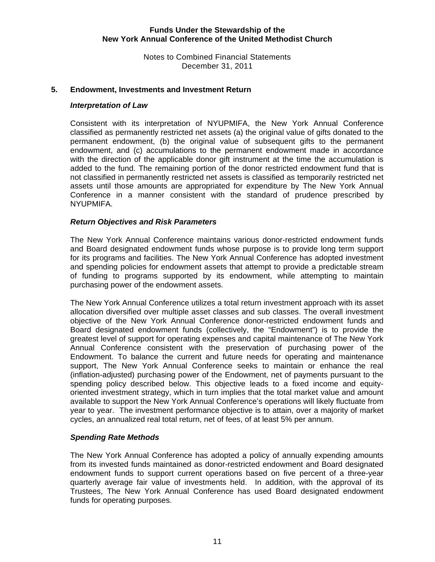Notes to Combined Financial Statements December 31, 2011

#### **5. Endowment, Investments and Investment Return**

#### *Interpretation of Law*

Consistent with its interpretation of NYUPMIFA, the New York Annual Conference classified as permanently restricted net assets (a) the original value of gifts donated to the permanent endowment, (b) the original value of subsequent gifts to the permanent endowment, and (c) accumulations to the permanent endowment made in accordance with the direction of the applicable donor gift instrument at the time the accumulation is added to the fund. The remaining portion of the donor restricted endowment fund that is not classified in permanently restricted net assets is classified as temporarily restricted net assets until those amounts are appropriated for expenditure by The New York Annual Conference in a manner consistent with the standard of prudence prescribed by NYUPMIFA.

#### *Return Objectives and Risk Parameters*

The New York Annual Conference maintains various donor-restricted endowment funds and Board designated endowment funds whose purpose is to provide long term support for its programs and facilities. The New York Annual Conference has adopted investment and spending policies for endowment assets that attempt to provide a predictable stream of funding to programs supported by its endowment, while attempting to maintain purchasing power of the endowment assets.

The New York Annual Conference utilizes a total return investment approach with its asset allocation diversified over multiple asset classes and sub classes. The overall investment objective of the New York Annual Conference donor-restricted endowment funds and Board designated endowment funds (collectively, the "Endowment") is to provide the greatest level of support for operating expenses and capital maintenance of The New York Annual Conference consistent with the preservation of purchasing power of the Endowment. To balance the current and future needs for operating and maintenance support, The New York Annual Conference seeks to maintain or enhance the real (inflation-adjusted) purchasing power of the Endowment, net of payments pursuant to the spending policy described below. This objective leads to a fixed income and equityoriented investment strategy, which in turn implies that the total market value and amount available to support the New York Annual Conference's operations will likely fluctuate from year to year. The investment performance objective is to attain, over a majority of market cycles, an annualized real total return, net of fees, of at least 5% per annum.

#### *Spending Rate Methods*

The New York Annual Conference has adopted a policy of annually expending amounts from its invested funds maintained as donor-restricted endowment and Board designated endowment funds to support current operations based on five percent of a three-year quarterly average fair value of investments held. In addition, with the approval of its Trustees, The New York Annual Conference has used Board designated endowment funds for operating purposes.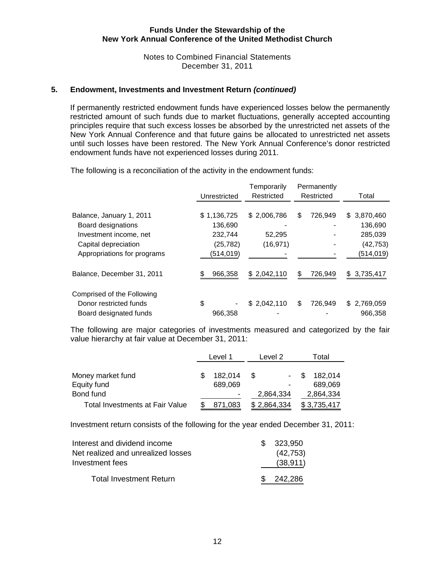Notes to Combined Financial Statements December 31, 2011

#### **5. Endowment, Investments and Investment Return** *(continued)*

If permanently restricted endowment funds have experienced losses below the permanently restricted amount of such funds due to market fluctuations, generally accepted accounting principles require that such excess losses be absorbed by the unrestricted net assets of the New York Annual Conference and that future gains be allocated to unrestricted net assets until such losses have been restored. The New York Annual Conference's donor restricted endowment funds have not experienced losses during 2011.

The following is a reconciliation of the activity in the endowment funds:

|                             | Unrestricted | Temporarily<br>Restricted | Permanently<br>Restricted | Total            |
|-----------------------------|--------------|---------------------------|---------------------------|------------------|
|                             |              |                           |                           |                  |
| Balance, January 1, 2011    | \$1,136,725  | \$2,006,786               | 726,949<br>\$             | \$3,870,460      |
| Board designations          | 136,690      |                           |                           | 136,690          |
| Investment income, net      | 232,744      | 52,295                    |                           | 285,039          |
| Capital depreciation        | (25, 782)    | (16, 971)                 |                           | (42, 753)        |
| Appropriations for programs | (514, 019)   |                           |                           | (514, 019)       |
| Balance, December 31, 2011  | 966,358      | \$2,042,110               | 726,949<br>\$             | 3,735,417<br>\$. |
| Comprised of the Following  |              |                           |                           |                  |
| Donor restricted funds      | \$           | \$2,042,110               | \$<br>726,949             | \$2,769,059      |
| Board designated funds      | 966,358      |                           |                           | 966,358          |

The following are major categories of investments measured and categorized by the fair value hierarchy at fair value at December 31, 2011:

|                                 | Level 1 |         | Level 2     |                          | Total |             |
|---------------------------------|---------|---------|-------------|--------------------------|-------|-------------|
|                                 |         |         |             |                          |       |             |
| Money market fund               |         | 182,014 | \$.         |                          | \$.   | 182,014     |
| Equity fund                     |         | 689,069 |             | $\overline{\phantom{a}}$ |       | 689,069     |
| Bond fund                       |         |         | 2,864,334   |                          |       | 2,864,334   |
| Total Investments at Fair Value |         | 871,083 | \$2,864,334 |                          |       | \$3,735,417 |

Investment return consists of the following for the year ended December 31, 2011:

| Interest and dividend income<br>Net realized and unrealized losses<br>Investment fees | \$ 323.950<br>(42, 753)<br>(38, 911) |
|---------------------------------------------------------------------------------------|--------------------------------------|
| <b>Total Investment Return</b>                                                        | \$ 242.286                           |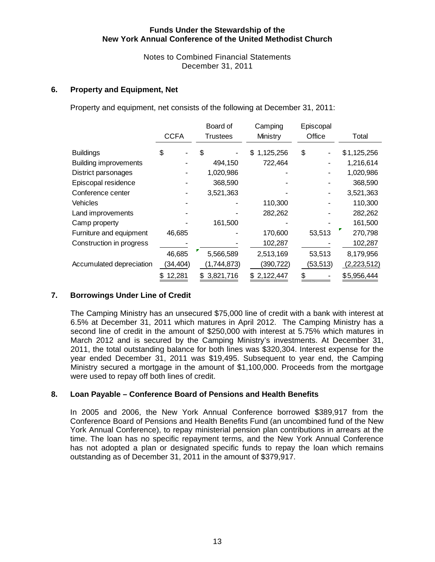Notes to Combined Financial Statements December 31, 2011

#### **6. Property and Equipment, Net**

Property and equipment, net consists of the following at December 31, 2011:

|                              |             | Board of        | Camping         | Episcopal |             |
|------------------------------|-------------|-----------------|-----------------|-----------|-------------|
|                              | <b>CCFA</b> | Trustees        | Ministry        | Office    | Total       |
| <b>Buildings</b>             | \$          | S               | 1,125,256<br>\$ | \$        | \$1,125,256 |
| <b>Building improvements</b> |             | 494,150         | 722,464         |           | 1,216,614   |
| District parsonages          |             | 1,020,986       |                 |           | 1,020,986   |
| Episcopal residence          |             | 368,590         |                 |           | 368,590     |
| Conference center            |             | 3,521,363       |                 |           | 3,521,363   |
| Vehicles                     |             |                 | 110,300         |           | 110,300     |
| Land improvements            |             |                 | 282,262         |           | 282,262     |
| Camp property                |             | 161,500         |                 |           | 161,500     |
| Furniture and equipment      | 46,685      |                 | 170,600         | 53,513    | 270,798     |
| Construction in progress     |             |                 | 102,287         |           | 102,287     |
|                              | 46,685      | 5,566,589       | 2,513,169       | 53,513    | 8,179,956   |
| Accumulated depreciation     | (34, 404)   | (1,744,873)     | (390, 722)      | (53, 513) | (2,223,512) |
|                              | 12,281      | 3,821,716<br>S. | \$2,122,447     | \$        | \$5,956,444 |

## **7. Borrowings Under Line of Credit**

The Camping Ministry has an unsecured \$75,000 line of credit with a bank with interest at 6.5% at December 31, 2011 which matures in April 2012. The Camping Ministry has a second line of credit in the amount of \$250,000 with interest at 5.75% which matures in March 2012 and is secured by the Camping Ministry's investments. At December 31, 2011, the total outstanding balance for both lines was \$320,304. Interest expense for the year ended December 31, 2011 was \$19,495. Subsequent to year end, the Camping Ministry secured a mortgage in the amount of \$1,100,000. Proceeds from the mortgage were used to repay off both lines of credit.

## **8. Loan Payable – Conference Board of Pensions and Health Benefits**

In 2005 and 2006, the New York Annual Conference borrowed \$389,917 from the Conference Board of Pensions and Health Benefits Fund (an uncombined fund of the New York Annual Conference), to repay ministerial pension plan contributions in arrears at the time. The loan has no specific repayment terms, and the New York Annual Conference has not adopted a plan or designated specific funds to repay the loan which remains outstanding as of December 31, 2011 in the amount of \$379,917.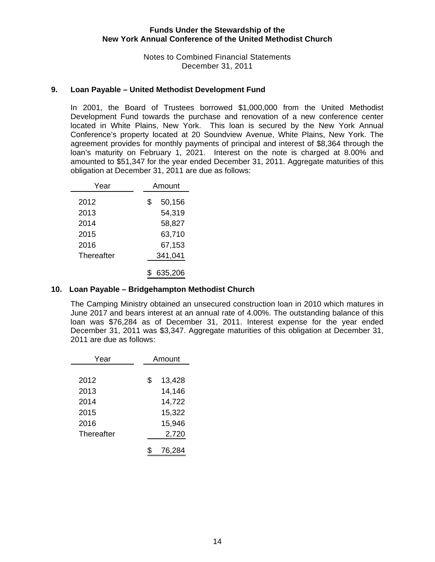Notes to Combined Financial Statements December 31, 2011

#### **9. Loan Payable – United Methodist Development Fund**

In 2001, the Board of Trustees borrowed \$1,000,000 from the United Methodist Development Fund towards the purchase and renovation of a new conference center located in White Plains, New York. This loan is secured by the New York Annual Conference's property located at 20 Soundview Avenue, White Plains, New York. The agreement provides for monthly payments of principal and interest of \$8,364 through the loan's maturity on February 1, 2021. Interest on the note is charged at 8.00% and amounted to \$51,347 for the year ended December 31, 2011. Aggregate maturities of this obligation at December 31, 2011 are due as follows:

| Year       | Amount       |
|------------|--------------|
| 2012       | \$<br>50,156 |
| 2013       | 54,319       |
| 2014       | 58,827       |
| 2015       | 63,710       |
| 2016       | 67,153       |
| Thereafter | 341,041      |
|            | 635,206      |

#### **10. Loan Payable – Bridgehampton Methodist Church**

The Camping Ministry obtained an unsecured construction loan in 2010 which matures in June 2017 and bears interest at an annual rate of 4.00%. The outstanding balance of this loan was \$76,284 as of December 31, 2011. Interest expense for the year ended December 31, 2011 was \$3,347. Aggregate maturities of this obligation at December 31, 2011 are due as follows:

| Year              | Amount       |  |
|-------------------|--------------|--|
|                   |              |  |
| 2012              | \$<br>13,428 |  |
| 2013              | 14,146       |  |
| 2014              | 14,722       |  |
| 2015              | 15,322       |  |
| 2016              | 15,946       |  |
| <b>Thereafter</b> | 2,720        |  |
|                   | 76,284       |  |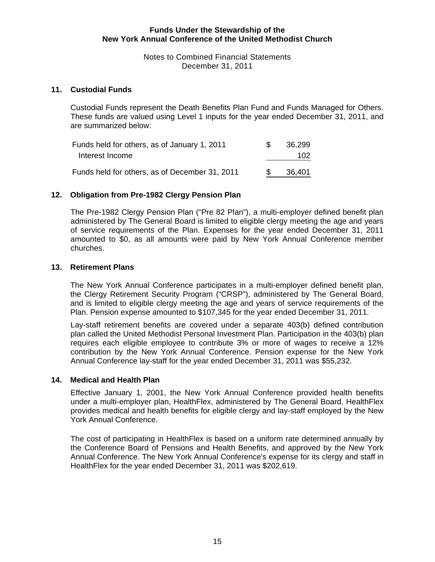Notes to Combined Financial Statements December 31, 2011

#### **11. Custodial Funds**

Custodial Funds represent the Death Benefits Plan Fund and Funds Managed for Others. These funds are valued using Level 1 inputs for the year ended December 31, 2011, and are summarized below:

| Funds held for others, as of January 1, 2011   | -SG | 36.299 |
|------------------------------------------------|-----|--------|
| Interest Income                                |     | 102    |
| Funds held for others, as of December 31, 2011 |     | 36,401 |

#### **12. Obligation from Pre-1982 Clergy Pension Plan**

The Pre-1982 Clergy Pension Plan ("Pre 82 Plan"), a multi-employer defined benefit plan administered by The General Board is limited to eligible clergy meeting the age and years of service requirements of the Plan. Expenses for the year ended December 31, 2011 amounted to \$0, as all amounts were paid by New York Annual Conference member churches.

#### **13. Retirement Plans**

The New York Annual Conference participates in a multi-employer defined benefit plan, the Clergy Retirement Security Program ("CRSP"), administered by The General Board, and is limited to eligible clergy meeting the age and years of service requirements of the Plan. Pension expense amounted to \$107,345 for the year ended December 31, 2011.

Lay-staff retirement benefits are covered under a separate 403(b) defined contribution plan called the United Methodist Personal Investment Plan. Participation in the 403(b) plan requires each eligible employee to contribute 3% or more of wages to receive a 12% contribution by the New York Annual Conference. Pension expense for the New York Annual Conference lay-staff for the year ended December 31, 2011 was \$55,232.

#### **14. Medical and Health Plan**

Effective January 1, 2001, the New York Annual Conference provided health benefits under a multi-employer plan, HealthFlex, administered by The General Board. HealthFlex provides medical and health benefits for eligible clergy and lay-staff employed by the New York Annual Conference.

The cost of participating in HealthFlex is based on a uniform rate determined annually by the Conference Board of Pensions and Health Benefits, and approved by the New York Annual Conference. The New York Annual Conference's expense for its clergy and staff in HealthFlex for the year ended December 31, 2011 was \$202,619.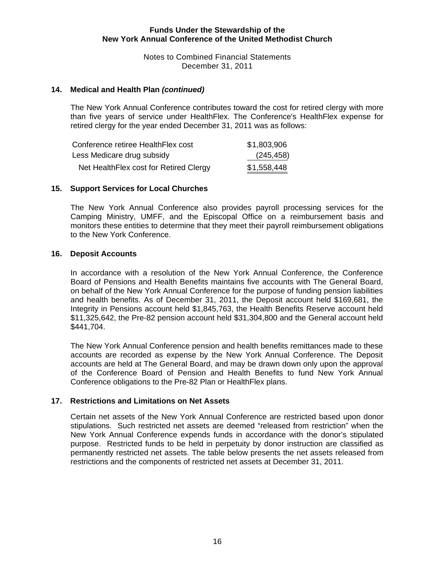Notes to Combined Financial Statements December 31, 2011

#### **14. Medical and Health Plan** *(continued)*

The New York Annual Conference contributes toward the cost for retired clergy with more than five years of service under HealthFlex. The Conference's HealthFlex expense for retired clergy for the year ended December 31, 2011 was as follows:

| Conference retiree HealthFlex cost      | \$1,803,906 |
|-----------------------------------------|-------------|
| Less Medicare drug subsidy              | (245,458)   |
| Net Health Flex cost for Retired Clergy | \$1,558,448 |

#### **15. Support Services for Local Churches**

The New York Annual Conference also provides payroll processing services for the Camping Ministry, UMFF, and the Episcopal Office on a reimbursement basis and monitors these entities to determine that they meet their payroll reimbursement obligations to the New York Conference.

#### **16. Deposit Accounts**

In accordance with a resolution of the New York Annual Conference, the Conference Board of Pensions and Health Benefits maintains five accounts with The General Board, on behalf of the New York Annual Conference for the purpose of funding pension liabilities and health benefits. As of December 31, 2011, the Deposit account held \$169,681, the Integrity in Pensions account held \$1,845,763, the Health Benefits Reserve account held \$11,325,642, the Pre-82 pension account held \$31,304,800 and the General account held \$441,704.

The New York Annual Conference pension and health benefits remittances made to these accounts are recorded as expense by the New York Annual Conference. The Deposit accounts are held at The General Board, and may be drawn down only upon the approval of the Conference Board of Pension and Health Benefits to fund New York Annual Conference obligations to the Pre-82 Plan or HealthFlex plans.

#### **17. Restrictions and Limitations on Net Assets**

Certain net assets of the New York Annual Conference are restricted based upon donor stipulations. Such restricted net assets are deemed "released from restriction" when the New York Annual Conference expends funds in accordance with the donor's stipulated purpose. Restricted funds to be held in perpetuity by donor instruction are classified as permanently restricted net assets. The table below presents the net assets released from restrictions and the components of restricted net assets at December 31, 2011.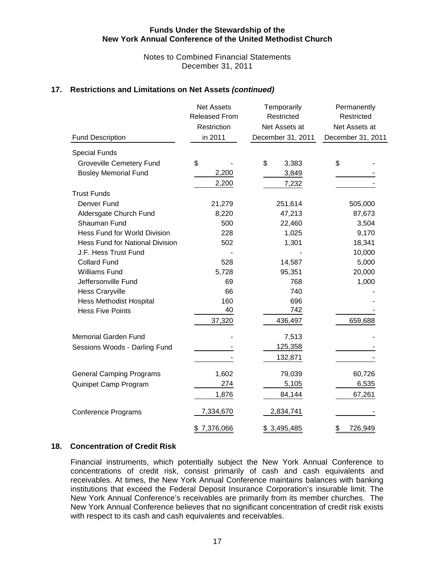#### Notes to Combined Financial Statements December 31, 2011

## **17. Restrictions and Limitations on Net Assets** *(continued)*

| <b>Fund Description</b>                | <b>Net Assets</b><br><b>Released From</b><br>Restriction<br>in 2011 | Temporarily<br>Restricted<br>Net Assets at<br>December 31, 2011 | Permanently<br>Restricted<br>Net Assets at<br>December 31, 2011 |
|----------------------------------------|---------------------------------------------------------------------|-----------------------------------------------------------------|-----------------------------------------------------------------|
| <b>Special Funds</b>                   |                                                                     |                                                                 |                                                                 |
| <b>Groveville Cemetery Fund</b>        | \$                                                                  | \$<br>3,383                                                     | \$                                                              |
| <b>Bosley Memorial Fund</b>            | 2,200                                                               | 3,849                                                           |                                                                 |
|                                        | 2,200                                                               | 7,232                                                           |                                                                 |
| <b>Trust Funds</b>                     |                                                                     |                                                                 |                                                                 |
| Denver Fund                            | 21,279                                                              | 251,614                                                         | 505,000                                                         |
| Aldersgate Church Fund                 | 8,220                                                               | 47,213                                                          | 87,673                                                          |
| Shauman Fund                           | 500                                                                 | 22,460                                                          | 3,504                                                           |
| Hess Fund for World Division           | 228                                                                 | 1,025                                                           | 9,170                                                           |
| <b>Hess Fund for National Division</b> | 502                                                                 | 1,301                                                           | 18,341                                                          |
| J.F. Hess Trust Fund                   |                                                                     |                                                                 | 10,000                                                          |
| <b>Collard Fund</b>                    | 528                                                                 | 14,587                                                          | 5,000                                                           |
| <b>Williams Fund</b>                   | 5,728                                                               | 95,351                                                          | 20,000                                                          |
| Jeffersonville Fund                    | 69                                                                  | 768                                                             | 1,000                                                           |
| <b>Hess Craryville</b>                 | 66                                                                  | 740                                                             |                                                                 |
| <b>Hess Methodist Hospital</b>         | 160                                                                 | 696                                                             |                                                                 |
| <b>Hess Five Points</b>                | 40                                                                  | 742                                                             |                                                                 |
|                                        | 37,320                                                              | 436,497                                                         | 659,688                                                         |
| <b>Memorial Garden Fund</b>            |                                                                     | 7,513                                                           |                                                                 |
| Sessions Woods - Darling Fund          |                                                                     | 125,358                                                         |                                                                 |
|                                        |                                                                     | 132,871                                                         |                                                                 |
| <b>General Camping Programs</b>        | 1,602                                                               | 79,039                                                          | 60,726                                                          |
| Quinipet Camp Program                  | 274                                                                 | 5,105                                                           | 6,535                                                           |
|                                        | 1,876                                                               | 84,144                                                          | 67,261                                                          |
| <b>Conference Programs</b>             | 7,334,670                                                           | 2,834,741                                                       |                                                                 |
|                                        | \$7,376,066                                                         | \$3,495,485                                                     | 726,949<br>\$                                                   |

#### **18. Concentration of Credit Risk**

Financial instruments, which potentially subject the New York Annual Conference to concentrations of credit risk, consist primarily of cash and cash equivalents and receivables. At times, the New York Annual Conference maintains balances with banking institutions that exceed the Federal Deposit Insurance Corporation's insurable limit. The New York Annual Conference's receivables are primarily from its member churches. The New York Annual Conference believes that no significant concentration of credit risk exists with respect to its cash and cash equivalents and receivables.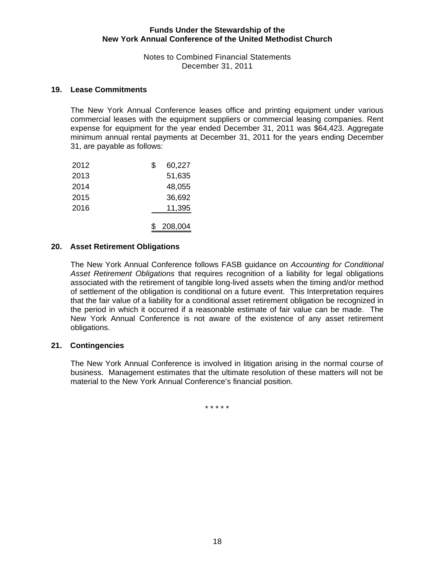Notes to Combined Financial Statements December 31, 2011

#### **19. Lease Commitments**

The New York Annual Conference leases office and printing equipment under various commercial leases with the equipment suppliers or commercial leasing companies. Rent expense for equipment for the year ended December 31, 2011 was \$64,423. Aggregate minimum annual rental payments at December 31, 2011 for the years ending December 31, are payable as follows:

| 2012 | 60,227  |
|------|---------|
| 2013 | 51,635  |
| 2014 | 48,055  |
| 2015 | 36,692  |
| 2016 | 11,395  |
|      |         |
|      | 208,004 |

#### **20. Asset Retirement Obligations**

The New York Annual Conference follows FASB guidance on *Accounting for Conditional Asset Retirement Obligations* that requires recognition of a liability for legal obligations associated with the retirement of tangible long-lived assets when the timing and/or method of settlement of the obligation is conditional on a future event. This Interpretation requires that the fair value of a liability for a conditional asset retirement obligation be recognized in the period in which it occurred if a reasonable estimate of fair value can be made. The New York Annual Conference is not aware of the existence of any asset retirement obligations.

#### **21. Contingencies**

The New York Annual Conference is involved in litigation arising in the normal course of business. Management estimates that the ultimate resolution of these matters will not be material to the New York Annual Conference's financial position.

\* \* \* \* \*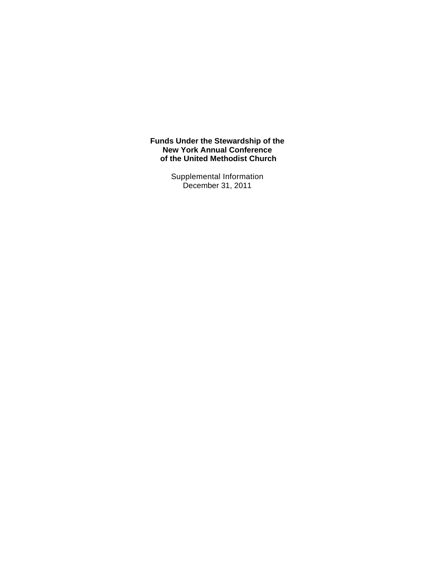> Supplemental Information December 31, 2011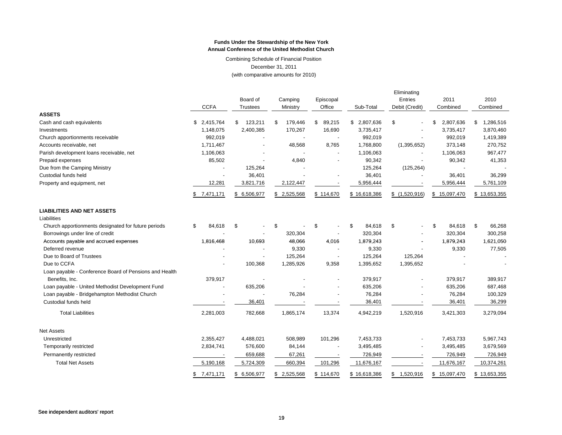Combining Schedule of Financial Position December 31, 2011 (with comparative amounts for 2010)

|                                                        |                          |                 |    |                          |                          |              | Eliminating |                |                 |                 |
|--------------------------------------------------------|--------------------------|-----------------|----|--------------------------|--------------------------|--------------|-------------|----------------|-----------------|-----------------|
|                                                        |                          | Board of        |    | Camping                  | Episcopal                |              |             | Entries        | 2011            | 2010            |
|                                                        | <b>CCFA</b>              | <b>Trustees</b> |    | Ministry                 | Office                   | Sub-Total    |             | Debit (Credit) | Combined        | Combined        |
| <b>ASSETS</b>                                          |                          |                 |    |                          |                          |              |             |                |                 |                 |
| Cash and cash equivalents                              | \$2,415,764              | \$<br>123,211   | S  | 179,446                  | \$<br>89,215             | \$2,807,636  | \$          |                | \$<br>2,807,636 | \$<br>1,286,516 |
| Investments                                            | 1,148,075                | 2,400,385       |    | 170,267                  | 16,690                   | 3,735,417    |             |                | 3,735,417       | 3,870,460       |
| Church apportionments receivable                       | 992,019                  |                 |    | $\overline{\phantom{a}}$ | $\overline{a}$           | 992,019      |             |                | 992,019         | 1,419,389       |
| Accounts receivable, net                               | 1,711,467                |                 |    | 48,568                   | 8,765                    | 1,768,800    |             | (1,395,652)    | 373,148         | 270,752         |
| Parish development loans receivable, net               | 1,106,063                |                 |    |                          |                          | 1,106,063    |             |                | 1,106,063       | 967,477         |
| Prepaid expenses                                       | 85,502                   |                 |    | 4,840                    |                          | 90,342       |             |                | 90,342          | 41,353          |
| Due from the Camping Ministry                          |                          | 125,264         |    |                          |                          | 125,264      |             | (125, 264)     |                 |                 |
| Custodial funds held                                   |                          | 36,401          |    |                          |                          | 36,401       |             |                | 36,401          | 36,299          |
| Property and equipment, net                            | 12,281                   | 3,821,716       |    | 2,122,447                |                          | 5,956,444    |             |                | 5,956,444       | 5,761,109       |
|                                                        | \$7,471,171              | \$ 6,506,977    |    | \$2,525,568              | \$114,670                | \$16,618,386 |             | \$(1,520,916)  | \$15,097,470    | \$13,653,355    |
| <b>LIABILITIES AND NET ASSETS</b>                      |                          |                 |    |                          |                          |              |             |                |                 |                 |
| Liabilities                                            |                          |                 |    |                          |                          |              |             |                |                 |                 |
| Church apportionments designated for future periods    | \$<br>84,618             | \$              | \$ |                          | \$                       | \$<br>84,618 | \$          |                | \$<br>84,618    | \$<br>66,268    |
| Borrowings under line of credit                        |                          |                 |    | 320,304                  |                          | 320,304      |             |                | 320,304         | 300,258         |
| Accounts payable and accrued expenses                  | 1,816,468                | 10,693          |    | 48,066                   | 4,016                    | 1,879,243    |             |                | 1,879,243       | 1,621,050       |
| Deferred revenue                                       |                          |                 |    | 9,330                    | $\overline{\phantom{a}}$ | 9,330        |             |                | 9,330           | 77,505          |
| Due to Board of Trustees                               |                          |                 |    | 125,264                  | $\overline{\phantom{a}}$ | 125,264      |             | 125,264        |                 |                 |
| Due to CCFA                                            |                          | 100,368         |    | 1,285,926                | 9,358                    | 1,395,652    |             | 1,395,652      |                 |                 |
| Loan payable - Conference Board of Pensions and Health |                          |                 |    |                          |                          |              |             |                |                 |                 |
| Benefits, Inc.                                         | 379,917                  |                 |    |                          |                          | 379,917      |             |                | 379,917         | 389,917         |
| Loan payable - United Methodist Development Fund       | $\overline{\phantom{m}}$ | 635,206         |    |                          |                          | 635,206      |             |                | 635,206         | 687,468         |
| Loan payable - Bridgehampton Methodist Church          |                          |                 |    | 76,284                   |                          | 76,284       |             |                | 76,284          | 100,329         |
| Custodial funds held                                   |                          | 36,401          |    |                          |                          | 36,401       |             |                | 36,401          | 36,299          |
| <b>Total Liabilities</b>                               | 2,281,003                | 782,668         |    | 1,865,174                | 13,374                   | 4,942,219    |             | 1,520,916      | 3,421,303       | 3,279,094       |
| <b>Net Assets</b>                                      |                          |                 |    |                          |                          |              |             |                |                 |                 |
| Unrestricted                                           | 2,355,427                | 4,488,021       |    | 508,989                  | 101,296                  | 7,453,733    |             |                | 7,453,733       | 5,967,743       |
| Temporarily restricted                                 | 2,834,741                | 576,600         |    | 84,144                   |                          | 3,495,485    |             |                | 3,495,485       | 3,679,569       |
| Permanently restricted                                 |                          | 659,688         |    | 67,261                   |                          | 726,949      |             |                | 726,949         | 726,949         |
| <b>Total Net Assets</b>                                | 5,190,168                | 5,724,309       |    | 660,394                  | 101,296                  | 11,676,167   |             |                | 11,676,167      | 10,374,261      |
|                                                        | \$<br>7,471,171          | \$ 6,506,977    |    | \$2,525,568              | \$114,670                | \$16,618,386 |             | \$1,520,916    | \$15,097,470    | \$13,653,355    |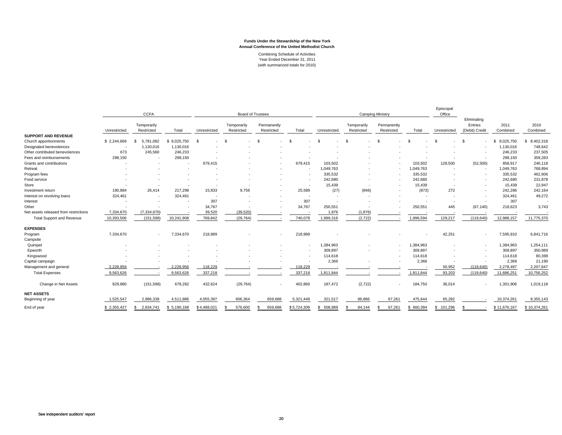Combining Schedule of Activities Year Ended December 31, 2011 (with summarized totals for 2010)

|                                       |                          | <b>CCFA</b>               |                          | <b>Board of Trustees</b> |                           |                           |             |              | <b>Camping Ministry</b>   |                           | Episcopal<br>Office |               |                                          |                  |                  |
|---------------------------------------|--------------------------|---------------------------|--------------------------|--------------------------|---------------------------|---------------------------|-------------|--------------|---------------------------|---------------------------|---------------------|---------------|------------------------------------------|------------------|------------------|
|                                       | Unrestricted             | Temporarily<br>Restricted | Total                    | Unrestricted             | Temporarily<br>Restricted | Permanently<br>Restricted | Total       | Unrestricted | Temporarily<br>Restricted | Permanently<br>Restricted | Total               | Unrestricted  | Eliminating<br>Entries<br>(Debit) Credit | 2011<br>Combined | 2010<br>Combined |
| <b>SUPPORT AND REVENUE</b>            |                          |                           |                          |                          |                           |                           |             |              |                           |                           |                     |               |                                          |                  |                  |
| Church apportionments                 | \$2,244,668              | 5,781,082<br>£.           | \$8,025,750              | - \$                     | \$                        | $\mathcal{S}$             | - \$        |              | -8                        | $\mathcal{S}$             | \$                  | .S            | . ድ                                      | 8,025,750<br>-S. | 8,402,318<br>\$  |
| Designated benevolences               |                          | 1,130,016                 | 1,130,016                |                          |                           |                           |             |              |                           |                           |                     |               |                                          | 1,130,016        | 748,642          |
| Other contributed benevolences        | 673                      | 245,560                   | 246,233                  |                          |                           |                           |             |              |                           |                           |                     |               |                                          | 246,233          | 237,505          |
| Fees and reimbursements               | 298,150                  |                           | 298,150                  |                          |                           |                           |             |              |                           |                           |                     |               | ٠.                                       | 298,150          | 359,283          |
| Grants and contributions              |                          |                           | $\overline{\phantom{a}}$ | 679.415                  |                           |                           | 679.415     | 103,502      |                           |                           | 103,502             | 128,500       | (52, 500)                                | 858,917          | 246,118          |
| Retreat                               |                          |                           |                          |                          |                           |                           | ٠           | 1,049,763    |                           |                           | 1,049,763           |               | $\sim$                                   | 1,049,763        | 768,894          |
| Program fees                          |                          |                           |                          |                          |                           |                           |             | 335,532      |                           |                           | 335,532             |               | $\overline{\phantom{a}}$                 | 335,532          | 462,606          |
| Food service                          |                          |                           |                          |                          |                           |                           |             | 242,680      |                           |                           | 242,680             |               | $\overline{\phantom{a}}$                 | 242,680          | 231,878          |
| Store                                 |                          |                           |                          |                          |                           |                           | ۰.          | 15,439       |                           |                           | 15,439              |               | $\overline{\phantom{a}}$                 | 15,439           | 22,947           |
| Investment return                     | 190,884                  | 26,414                    | 217,298                  | 15,833                   | 9,756                     |                           | 25,589      | (27)         | (846)                     |                           | (873)               | 272           | $\sim$                                   | 242,286          | 242,164          |
| Interest on revolving loans           | 324,461                  |                           | 324,461                  | ۰.                       |                           |                           | ۰.          | $\sim$       | ٠.                        |                           | $\overline{a}$      |               | ٠.                                       | 324,461          | 49,272           |
| Interest                              | $\overline{\phantom{a}}$ |                           | $\overline{\phantom{a}}$ | 307                      |                           |                           | 307         |              |                           |                           |                     |               | ٠.                                       | 307              |                  |
| Other                                 |                          |                           |                          | 34,767                   |                           |                           | 34,767      | 250,551      |                           |                           | 250,551             | 445           | (67, 140)                                | 218,623          | 3,743            |
| Net assets released from restrictions | 7,334,670                | (7, 334, 670)             |                          | 39,520                   | (39, 520)                 |                           |             | 1,876        | (1,876)                   |                           |                     |               |                                          |                  |                  |
| <b>Total Support and Revenue</b>      | 10,393,506               | (151, 598)                | 10,241,908               | 769,842                  | (29, 764)                 |                           | 740,078     | 1,999,316    | (2, 722)                  |                           | 1,996,594           | 129,217       | (119, 640)                               | 12,988,157       | 11,775,370       |
| <b>EXPENSES</b>                       |                          |                           |                          |                          |                           |                           |             |              |                           |                           |                     |               |                                          |                  |                  |
| Program                               | 7,334,670                | $\sim$                    | 7,334,670                | 218,989                  |                           |                           | 218,989     |              |                           |                           |                     | 42,251        | $\sim$                                   | 7,595,910        | 6,841,716        |
| Campsite                              |                          |                           |                          |                          |                           |                           |             |              |                           |                           |                     |               |                                          |                  |                  |
| Quinipet                              |                          |                           |                          |                          |                           |                           |             | ,384,963     |                           |                           | 1,384,963           |               | $\overline{\phantom{a}}$                 | 1,384,963        | 1,254,111        |
| Epworth                               |                          |                           |                          |                          |                           |                           |             | 309,897      |                           |                           | 309,897             |               |                                          | 309,897          | 350,989          |
| Kingswood                             |                          |                           |                          |                          |                           |                           |             | 114,618      |                           |                           | 114,618             |               |                                          | 114,618          | 80,399           |
| Capital campaign                      |                          |                           |                          |                          |                           |                           |             | 2,366        |                           |                           | 2,366               |               |                                          | 2,366            | 21,190           |
| Management and general                | 2,228,956                |                           | 2,228,956                | 118,229                  |                           |                           | 118,229     |              |                           |                           |                     | 50,952        | (119, 640)                               | 2,278,497        | 2,207,847        |
| <b>Total Expenses</b>                 | 9,563,626                |                           | 9,563,626                | 337,218                  |                           |                           | 337,218     | 1,811,844    |                           |                           | 1,811,844           | 93,203        | (119, 640)                               | 11,686,251       | 10,756,252       |
| Change in Net Assets                  | 829,880                  | (151, 598)                | 678,282                  | 432,624                  | (29, 764)                 | $\sim$                    | 402,860     | 187,472      | (2, 722)                  |                           | 184,750             | 36,014        |                                          | 1,301,906        | 1,019,118        |
| <b>NET ASSETS</b>                     |                          |                           |                          |                          |                           |                           |             |              |                           |                           |                     |               |                                          |                  |                  |
| Beginning of year                     | 1,525,547                | 2,986,339                 | 4,511,886                | 4,055,397                | 606,364                   | 659,688                   | 5,321,449   | 321,517      | 86,866                    | 67,261                    | 475,644             | 65,282        |                                          | 10,374,261       | 9,355,143        |
| End of year                           | \$2,355,427              | 2,834,741                 | \$5,190,168              | \$4,488,021              | 576,600                   | 659,688<br>S              | \$5,724,309 | 508,989<br>S | 84,144                    | 67,261                    | 660,394<br>S        | 101,296<br>\$ |                                          | \$11,676,167     | \$10,374,261     |